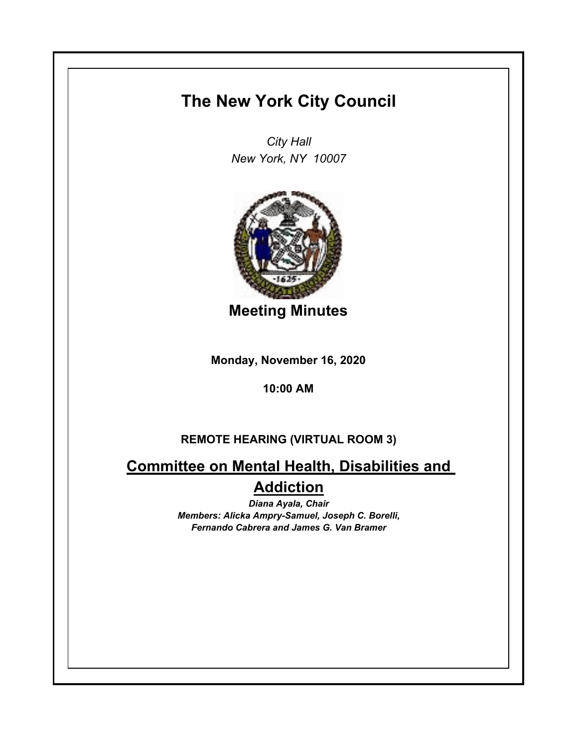## **The New York City Council**

*City Hall New York, NY 10007*



**Meeting Minutes**

**Monday, November 16, 2020**

**10:00 AM**

## **REMOTE HEARING (VIRTUAL ROOM 3)**

**Committee on Mental Health, Disabilities and Addiction**

> *Diana Ayala, Chair Members: Alicka Ampry-Samuel, Joseph C. Borelli, Fernando Cabrera and James G. Van Bramer*